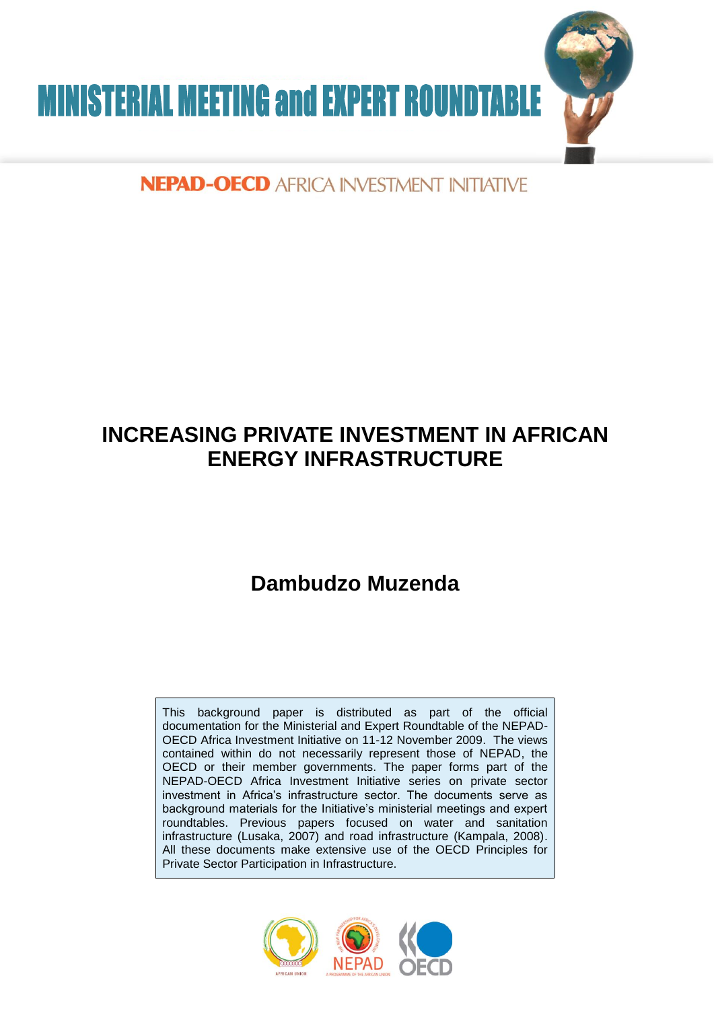

# NEPAD-OECD AFRICA INVESTMENT INITIATIVE

# **INCREASING PRIVATE INVESTMENT IN AFRICAN ENERGY INFRASTRUCTURE**

# **Dambudzo Muzenda**

This background paper is distributed as part of the official documentation for the Ministerial and Expert Roundtable of the NEPAD-OECD Africa Investment Initiative on 11-12 November 2009. The views contained within do not necessarily represent those of NEPAD, the OECD or their member governments. The paper forms part of the NEPAD-OECD Africa Investment Initiative series on private sector investment in Africa's infrastructure sector. The documents serve as background materials for the Initiative's ministerial meetings and expert roundtables. Previous papers focused on water and sanitation infrastructure (Lusaka, 2007) and road infrastructure (Kampala, 2008). All these documents make extensive use of the OECD Principles for Private Sector Participation in Infrastructure.

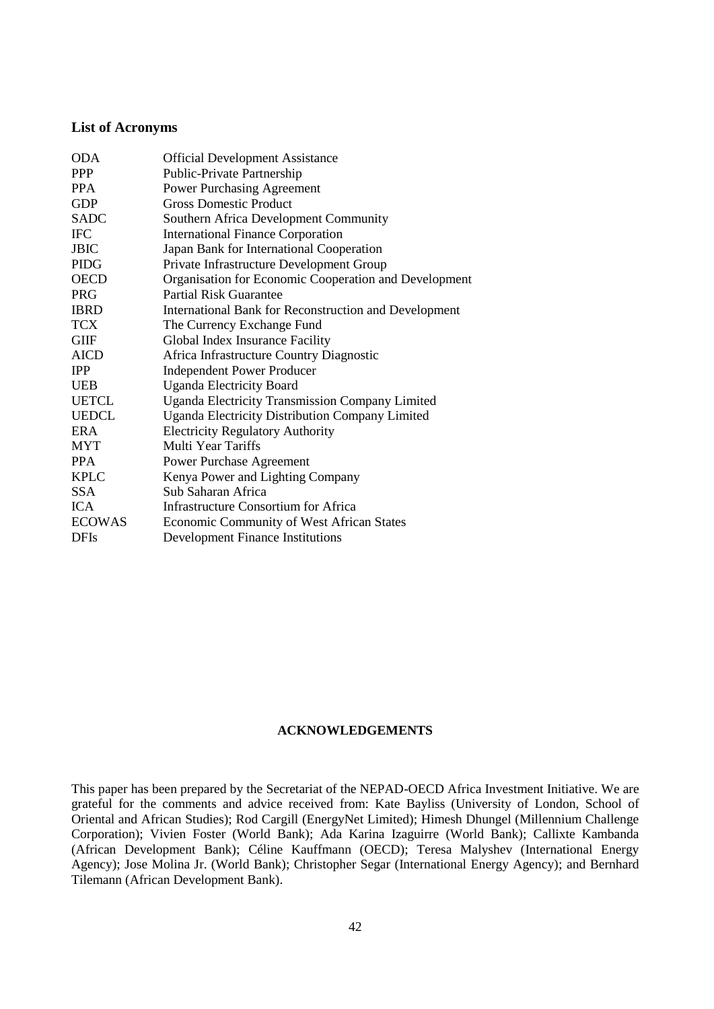## **List of Acronyms**

| <b>ODA</b>    | <b>Official Development Assistance</b>                 |  |
|---------------|--------------------------------------------------------|--|
| <b>PPP</b>    | Public-Private Partnership                             |  |
| <b>PPA</b>    | <b>Power Purchasing Agreement</b>                      |  |
| <b>GDP</b>    | <b>Gross Domestic Product</b>                          |  |
| <b>SADC</b>   | Southern Africa Development Community                  |  |
| <b>IFC</b>    | <b>International Finance Corporation</b>               |  |
| <b>JBIC</b>   | Japan Bank for International Cooperation               |  |
| <b>PIDG</b>   | Private Infrastructure Development Group               |  |
| <b>OECD</b>   | Organisation for Economic Cooperation and Development  |  |
| <b>PRG</b>    | <b>Partial Risk Guarantee</b>                          |  |
| <b>IBRD</b>   | International Bank for Reconstruction and Development  |  |
| <b>TCX</b>    | The Currency Exchange Fund                             |  |
| <b>GIIF</b>   | Global Index Insurance Facility                        |  |
| <b>AICD</b>   | Africa Infrastructure Country Diagnostic               |  |
| <b>IPP</b>    | <b>Independent Power Producer</b>                      |  |
| <b>UEB</b>    | <b>Uganda Electricity Board</b>                        |  |
| <b>UETCL</b>  | Uganda Electricity Transmission Company Limited        |  |
| <b>UEDCL</b>  | <b>Uganda Electricity Distribution Company Limited</b> |  |
| <b>ERA</b>    | <b>Electricity Regulatory Authority</b>                |  |
| <b>MYT</b>    | Multi Year Tariffs                                     |  |
| <b>PPA</b>    | Power Purchase Agreement                               |  |
| <b>KPLC</b>   | Kenya Power and Lighting Company                       |  |
| <b>SSA</b>    | Sub Saharan Africa                                     |  |
| <b>ICA</b>    | Infrastructure Consortium for Africa                   |  |
| <b>ECOWAS</b> | Economic Community of West African States              |  |
| <b>DFIs</b>   | <b>Development Finance Institutions</b>                |  |
|               |                                                        |  |

## **ACKNOWLEDGEMENTS**

This paper has been prepared by the Secretariat of the NEPAD-OECD Africa Investment Initiative. We are grateful for the comments and advice received from: Kate Bayliss (University of London, School of Oriental and African Studies); Rod Cargill (EnergyNet Limited); Himesh Dhungel (Millennium Challenge Corporation); Vivien Foster (World Bank); Ada Karina Izaguirre (World Bank); Callixte Kambanda (African Development Bank); Céline Kauffmann (OECD); Teresa Malyshev (International Energy Agency); Jose Molina Jr. (World Bank); Christopher Segar (International Energy Agency); and Bernhard Tilemann (African Development Bank).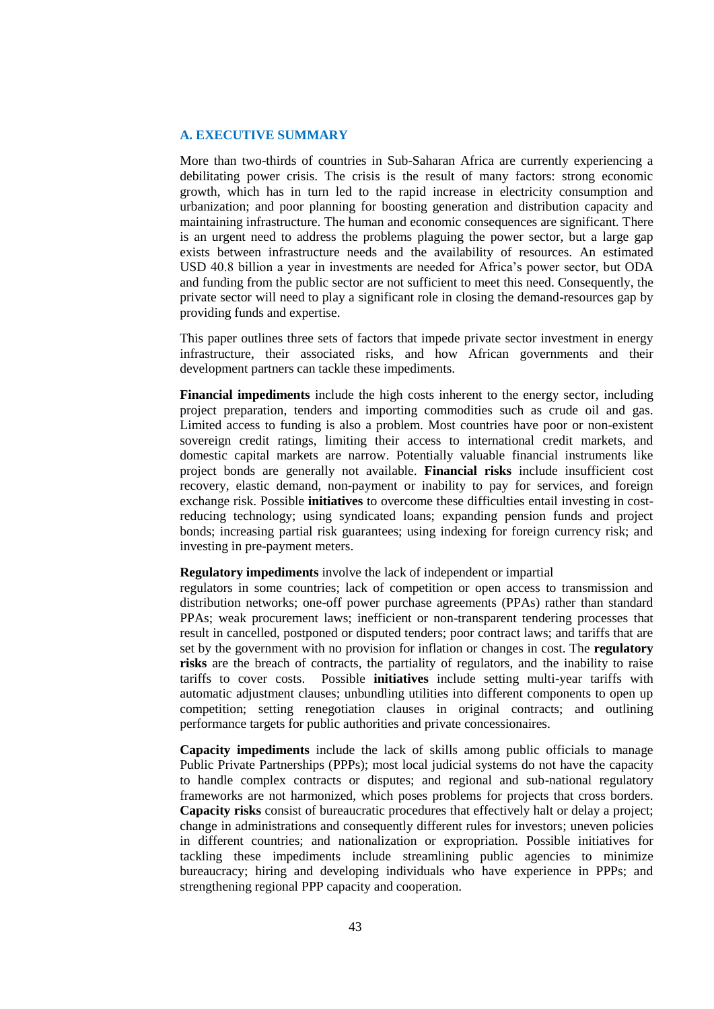## **A. EXECUTIVE SUMMARY**

More than two-thirds of countries in Sub-Saharan Africa are currently experiencing a debilitating power crisis. The crisis is the result of many factors: strong economic growth, which has in turn led to the rapid increase in electricity consumption and urbanization; and poor planning for boosting generation and distribution capacity and maintaining infrastructure. The human and economic consequences are significant. There is an urgent need to address the problems plaguing the power sector, but a large gap exists between infrastructure needs and the availability of resources. An estimated USD 40.8 billion a year in investments are needed for Africa's power sector, but ODA and funding from the public sector are not sufficient to meet this need. Consequently, the private sector will need to play a significant role in closing the demand-resources gap by providing funds and expertise.

This paper outlines three sets of factors that impede private sector investment in energy infrastructure, their associated risks, and how African governments and their development partners can tackle these impediments.

**Financial impediments** include the high costs inherent to the energy sector, including project preparation, tenders and importing commodities such as crude oil and gas. Limited access to funding is also a problem. Most countries have poor or non-existent sovereign credit ratings, limiting their access to international credit markets, and domestic capital markets are narrow. Potentially valuable financial instruments like project bonds are generally not available. **Financial risks** include insufficient cost recovery, elastic demand, non-payment or inability to pay for services, and foreign exchange risk. Possible **initiatives** to overcome these difficulties entail investing in costreducing technology; using syndicated loans; expanding pension funds and project bonds; increasing partial risk guarantees; using indexing for foreign currency risk; and investing in pre-payment meters.

## **Regulatory impediments** involve the lack of independent or impartial

regulators in some countries; lack of competition or open access to transmission and distribution networks; one-off power purchase agreements (PPAs) rather than standard PPAs; weak procurement laws; inefficient or non-transparent tendering processes that result in cancelled, postponed or disputed tenders; poor contract laws; and tariffs that are set by the government with no provision for inflation or changes in cost. The **regulatory risks** are the breach of contracts, the partiality of regulators, and the inability to raise tariffs to cover costs. Possible **initiatives** include setting multi-year tariffs with automatic adjustment clauses; unbundling utilities into different components to open up competition; setting renegotiation clauses in original contracts; and outlining performance targets for public authorities and private concessionaires.

**Capacity impediments** include the lack of skills among public officials to manage Public Private Partnerships (PPPs); most local judicial systems do not have the capacity to handle complex contracts or disputes; and regional and sub-national regulatory frameworks are not harmonized, which poses problems for projects that cross borders. **Capacity risks** consist of bureaucratic procedures that effectively halt or delay a project; change in administrations and consequently different rules for investors; uneven policies in different countries; and nationalization or expropriation. Possible initiatives for tackling these impediments include streamlining public agencies to minimize bureaucracy; hiring and developing individuals who have experience in PPPs; and strengthening regional PPP capacity and cooperation.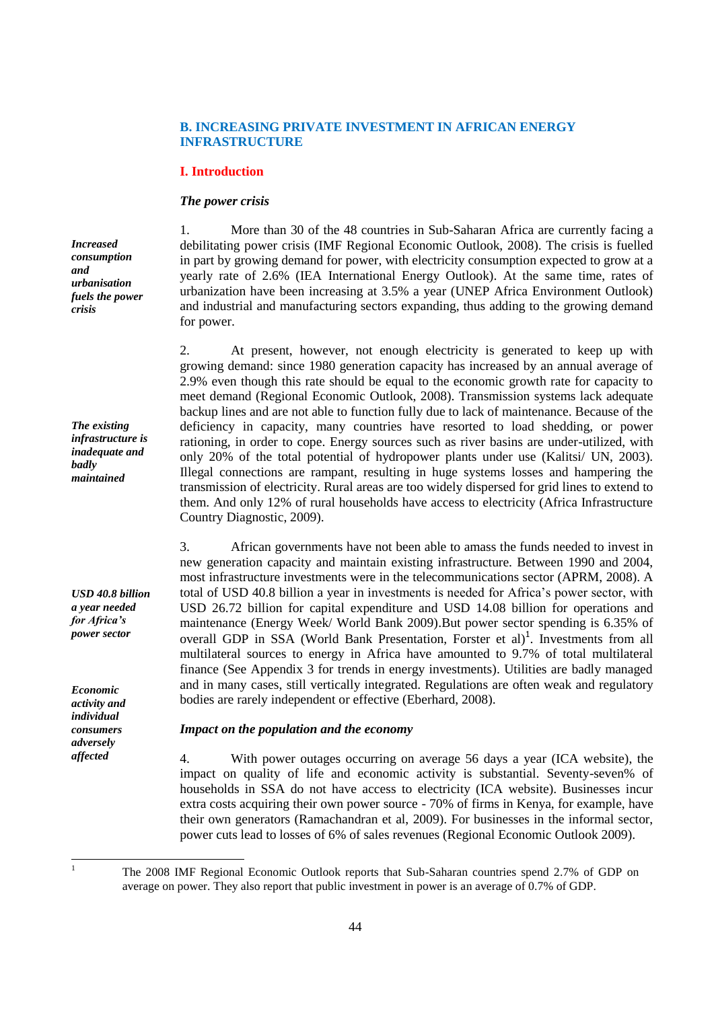# **B. INCREASING PRIVATE INVESTMENT IN AFRICAN ENERGY INFRASTRUCTURE**

## **I. Introduction**

## *The power crisis*

*Increased consumption and urbanisation fuels the power crisis*

*The existing infrastructure is inadequate and badly maintained*

*USD 40.8 billion a year needed for Africa's power sector*

*Economic activity and individual consumers adversely affected*

1. More than 30 of the 48 countries in Sub-Saharan Africa are currently facing a debilitating power crisis (IMF Regional Economic Outlook, 2008). The crisis is fuelled in part by growing demand for power, with electricity consumption expected to grow at a yearly rate of 2.6% (IEA International Energy Outlook). At the same time, rates of urbanization have been increasing at 3.5% a year (UNEP Africa Environment Outlook) and industrial and manufacturing sectors expanding, thus adding to the growing demand for power.

2. At present, however, not enough electricity is generated to keep up with growing demand: since 1980 generation capacity has increased by an annual average of 2.9% even though this rate should be equal to the economic growth rate for capacity to meet demand (Regional Economic Outlook, 2008). Transmission systems lack adequate backup lines and are not able to function fully due to lack of maintenance. Because of the deficiency in capacity, many countries have resorted to load shedding, or power rationing, in order to cope. Energy sources such as river basins are under-utilized, with only 20% of the total potential of hydropower plants under use (Kalitsi/ UN, 2003). Illegal connections are rampant, resulting in huge systems losses and hampering the transmission of electricity. Rural areas are too widely dispersed for grid lines to extend to them. And only 12% of rural households have access to electricity (Africa Infrastructure Country Diagnostic, 2009).

3. African governments have not been able to amass the funds needed to invest in new generation capacity and maintain existing infrastructure. Between 1990 and 2004, most infrastructure investments were in the telecommunications sector (APRM, 2008). A total of USD 40.8 billion a year in investments is needed for Africa's power sector, with USD 26.72 billion for capital expenditure and USD 14.08 billion for operations and maintenance (Energy Week/ World Bank 2009).But power sector spending is 6.35% of overall GDP in SSA (World Bank Presentation, Forster et al)<sup>1</sup>. Investments from all multilateral sources to energy in Africa have amounted to 9.7% of total multilateral finance (See Appendix 3 for trends in energy investments). Utilities are badly managed and in many cases, still vertically integrated. Regulations are often weak and regulatory bodies are rarely independent or effective (Eberhard, 2008).

## *Impact on the population and the economy*

4. With power outages occurring on average 56 days a year (ICA website), the impact on quality of life and economic activity is substantial. Seventy-seven% of households in SSA do not have access to electricity (ICA website). Businesses incur extra costs acquiring their own power source - 70% of firms in Kenya, for example, have their own generators (Ramachandran et al, 2009). For businesses in the informal sector, power cuts lead to losses of 6% of sales revenues (Regional Economic Outlook 2009).

 $\mathbf{1}$ 

<sup>1</sup> The 2008 IMF Regional Economic Outlook reports that Sub-Saharan countries spend 2.7% of GDP on average on power. They also report that public investment in power is an average of 0.7% of GDP.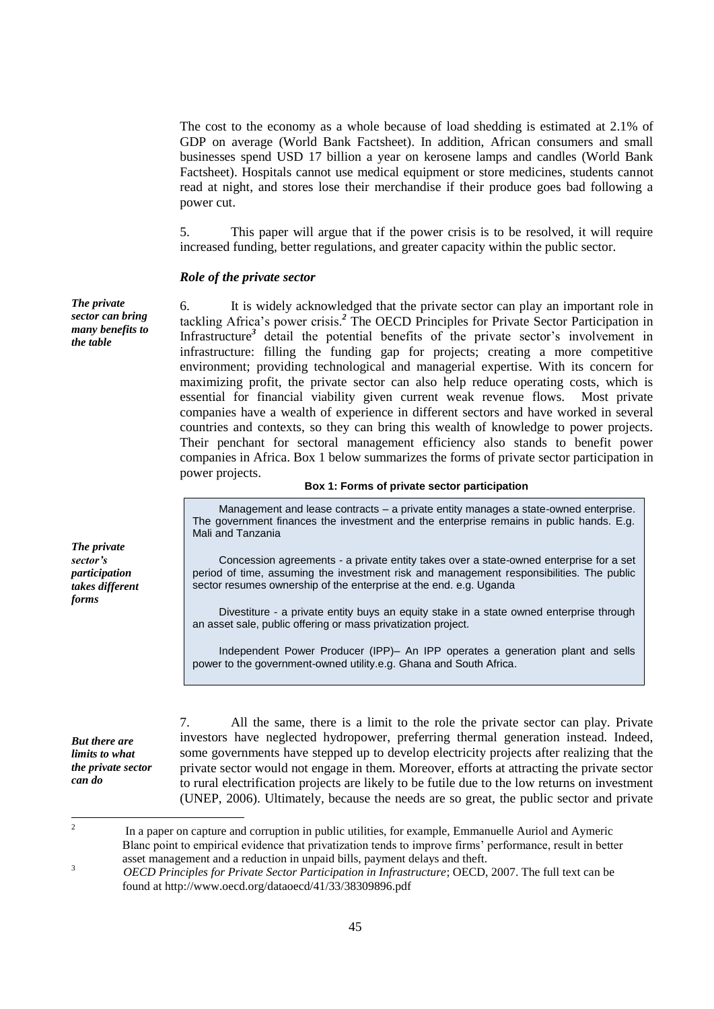The cost to the economy as a whole because of load shedding is estimated at 2.1% of GDP on average (World Bank Factsheet). In addition, African consumers and small businesses spend USD 17 billion a year on kerosene lamps and candles (World Bank Factsheet). Hospitals cannot use medical equipment or store medicines, students cannot read at night, and stores lose their merchandise if their produce goes bad following a power cut.

5. This paper will argue that if the power crisis is to be resolved, it will require increased funding, better regulations, and greater capacity within the public sector.

## *Role of the private sector*

*The private sector can bring many benefits to the table*

6. It is widely acknowledged that the private sector can play an important role in tackling Africa's power crisis.*<sup>2</sup>* The OECD Principles for Private Sector Participation in Infrastructure*<sup>3</sup>* detail the potential benefits of the private sector's involvement in infrastructure: filling the funding gap for projects; creating a more competitive environment; providing technological and managerial expertise. With its concern for maximizing profit, the private sector can also help reduce operating costs, which is essential for financial viability given current weak revenue flows. Most private companies have a wealth of experience in different sectors and have worked in several countries and contexts, so they can bring this wealth of knowledge to power projects. Their penchant for sectoral management efficiency also stands to benefit power companies in Africa. Box 1 below summarizes the forms of private sector participation in power projects.

## **Box 1: Forms of private sector participation**

Management and lease contracts – a private entity manages a state-owned enterprise. The government finances the investment and the enterprise remains in public hands. E.g. Mali and Tanzania

Concession agreements - a private entity takes over a state-owned enterprise for a set period of time, assuming the investment risk and management responsibilities. The public sector resumes ownership of the enterprise at the end. e.g. Uganda

Divestiture - a private entity buys an equity stake in a state owned enterprise through an asset sale, public offering or mass privatization project.

Independent Power Producer (IPP)– An IPP operates a generation plant and sells power to the government-owned utility.e.g. Ghana and South Africa.

*But there are limits to what the private sector can do*

7. All the same, there is a limit to the role the private sector can play. Private investors have neglected hydropower, preferring thermal generation instead. Indeed, some governments have stepped up to develop electricity projects after realizing that the private sector would not engage in them. Moreover, efforts at attracting the private sector to rural electrification projects are likely to be futile due to the low returns on investment (UNEP, 2006). Ultimately, because the needs are so great, the public sector and private

*The private sector's participation takes different forms*

 $\frac{1}{2}$  In a paper on capture and corruption in public utilities, for example, Emmanuelle Auriol and Aymeric Blanc point to empirical evidence that privatization tends to improve firms' performance, result in better asset management and a reduction in unpaid bills, payment delays and theft. 3

*OECD Principles for Private Sector Participation in Infrastructure*; OECD, 2007. The full text can be found at http://www.oecd.org/dataoecd/41/33/38309896.pdf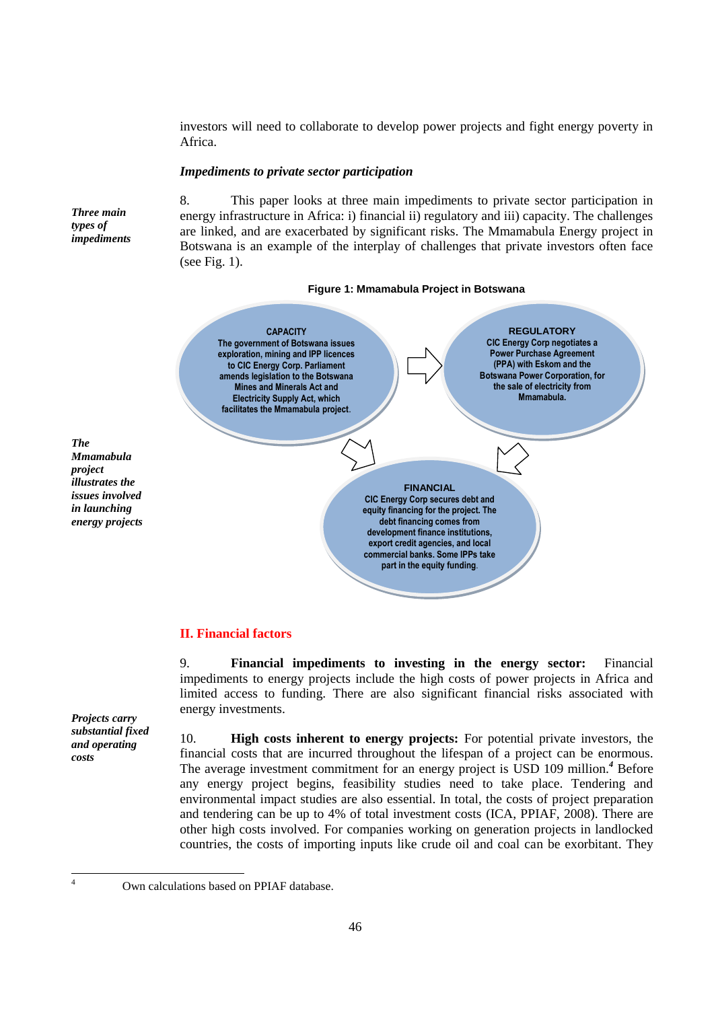investors will need to collaborate to develop power projects and fight energy poverty in Africa.

## *Impediments to private sector participation*

*Three main types of impediments*

8. This paper looks at three main impediments to private sector participation in energy infrastructure in Africa: i) financial ii) regulatory and iii) capacity. The challenges are linked, and are exacerbated by significant risks. The Mmamabula Energy project in Botswana is an example of the interplay of challenges that private investors often face (see Fig. 1).





*The Mmamabula project illustrates the issues involved in launching energy projects*

# **II. Financial factors**

9. **Financial impediments to investing in the energy sector:** Financial impediments to energy projects include the high costs of power projects in Africa and limited access to funding. There are also significant financial risks associated with energy investments.

*Projects carry substantial fixed and operating costs*

10. **High costs inherent to energy projects:** For potential private investors, the financial costs that are incurred throughout the lifespan of a project can be enormous. The average investment commitment for an energy project is USD 109 million.*<sup>4</sup>* Before any energy project begins, feasibility studies need to take place. Tendering and environmental impact studies are also essential. In total, the costs of project preparation and tendering can be up to 4% of total investment costs (ICA, PPIAF, 2008). There are other high costs involved. For companies working on generation projects in landlocked countries, the costs of importing inputs like crude oil and coal can be exorbitant. They

 $\frac{1}{4}$ 

Own calculations based on PPIAF database.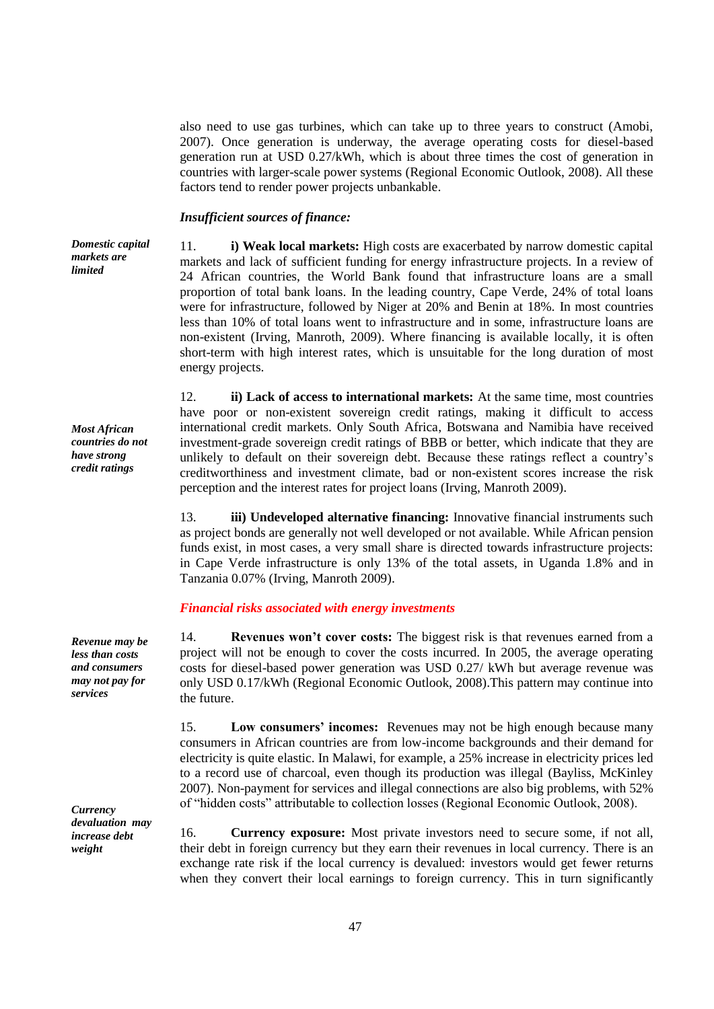also need to use gas turbines, which can take up to three years to construct (Amobi, 2007). Once generation is underway, the average operating costs for diesel-based generation run at USD 0.27/kWh, which is about three times the cost of generation in countries with larger-scale power systems (Regional Economic Outlook, 2008). All these factors tend to render power projects unbankable.

## *Insufficient sources of finance:*

*Domestic capital markets are limited*

11. **i) Weak local markets:** High costs are exacerbated by narrow domestic capital markets and lack of sufficient funding for energy infrastructure projects. In a review of 24 African countries, the World Bank found that infrastructure loans are a small proportion of total bank loans. In the leading country, Cape Verde, 24% of total loans were for infrastructure, followed by Niger at 20% and Benin at 18%. In most countries less than 10% of total loans went to infrastructure and in some, infrastructure loans are non-existent (Irving, Manroth, 2009). Where financing is available locally, it is often short-term with high interest rates, which is unsuitable for the long duration of most energy projects.

12. **ii) Lack of access to international markets:** At the same time, most countries have poor or non-existent sovereign credit ratings, making it difficult to access international credit markets. Only South Africa, Botswana and Namibia have received investment-grade sovereign credit ratings of BBB or better, which indicate that they are unlikely to default on their sovereign debt. Because these ratings reflect a country's

*Most African countries do not have strong credit ratings* 

creditworthiness and investment climate, bad or non-existent scores increase the risk perception and the interest rates for project loans (Irving, Manroth 2009). 13. **iii) Undeveloped alternative financing:** Innovative financial instruments such as project bonds are generally not well developed or not available. While African pension funds exist, in most cases, a very small share is directed towards infrastructure projects: in Cape Verde infrastructure is only 13% of the total assets, in Uganda 1.8% and in

# *Financial risks associated with energy investments*

Tanzania 0.07% (Irving, Manroth 2009).

14. **Revenues won't cover costs:** The biggest risk is that revenues earned from a project will not be enough to cover the costs incurred. In 2005, the average operating costs for diesel-based power generation was USD 0.27/ kWh but average revenue was only USD 0.17/kWh (Regional Economic Outlook, 2008).This pattern may continue into the future.

15. **Low consumers' incomes:** Revenues may not be high enough because many consumers in African countries are from low-income backgrounds and their demand for electricity is quite elastic. In Malawi, for example, a 25% increase in electricity prices led to a record use of charcoal, even though its production was illegal (Bayliss, McKinley 2007). Non-payment for services and illegal connections are also big problems, with 52% of "hidden costs" attributable to collection losses (Regional Economic Outlook, 2008).

16. **Currency exposure:** Most private investors need to secure some, if not all, their debt in foreign currency but they earn their revenues in local currency. There is an exchange rate risk if the local currency is devalued: investors would get fewer returns when they convert their local earnings to foreign currency. This in turn significantly

*Revenue may be less than costs and consumers may not pay for services*

*Currency devaluation may increase debt weight*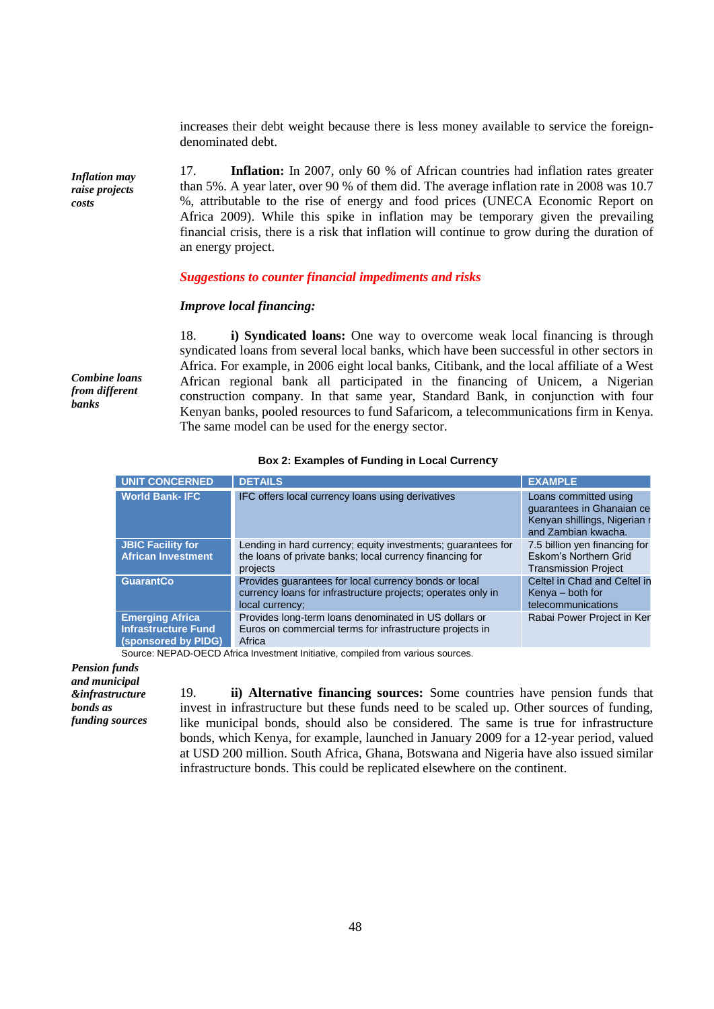increases their debt weight because there is less money available to service the foreigndenominated debt.

17. **Inflation:** In 2007, only 60 % of African countries had inflation rates greater than 5%. A year later, over 90 % of them did. The average inflation rate in 2008 was 10.7 %, attributable to the rise of energy and food prices (UNECA Economic Report on Africa 2009). While this spike in inflation may be temporary given the prevailing financial crisis, there is a risk that inflation will continue to grow during the duration of an energy project.

## *Suggestions to counter financial impediments and risks*

## *Improve local financing:*

18. **i) Syndicated loans:** One way to overcome weak local financing is through syndicated loans from several local banks, which have been successful in other sectors in Africa. For example, in 2006 eight local banks, Citibank, and the local affiliate of a West African regional bank all participated in the financing of Unicem, a Nigerian construction company. In that same year, Standard Bank, in conjunction with four Kenyan banks, pooled resources to fund Safaricom, a telecommunications firm in Kenya. The same model can be used for the energy sector.

#### **Box 2: Examples of Funding in Local Currency**

| <b>UNIT CONCERNED</b>                                                       | <b>DETAILS</b>                                                                                                                           | <b>EXAMPLE</b>                                                                                            |
|-----------------------------------------------------------------------------|------------------------------------------------------------------------------------------------------------------------------------------|-----------------------------------------------------------------------------------------------------------|
| <b>World Bank-IFC</b>                                                       | IFC offers local currency loans using derivatives                                                                                        | Loans committed using<br>quarantees in Ghanaian ce<br>Kenyan shillings, Nigerian r<br>and Zambian kwacha. |
| <b>JBIC Facility for</b><br><b>African Investment</b>                       | Lending in hard currency; equity investments; guarantees for<br>the loans of private banks; local currency financing for<br>projects     | 7.5 billion yen financing for<br>Eskom's Northern Grid<br><b>Transmission Project</b>                     |
| <b>GuarantCo</b>                                                            | Provides guarantees for local currency bonds or local<br>currency loans for infrastructure projects; operates only in<br>local currency: | Celtel in Chad and Celtel in<br>Kenya – both for<br>telecommunications                                    |
| <b>Emerging Africa</b><br><b>Infrastructure Fund</b><br>(sponsored by PIDG) | Provides long-term loans denominated in US dollars or<br>Euros on commercial terms for infrastructure projects in<br>Africa              | Rabai Power Project in Ker                                                                                |

Source: NEPAD-OECD Africa Investment Initiative, compiled from various sources.

*Pension funds and municipal &infrastructure bonds as funding sources*

19. **ii) Alternative financing sources:** Some countries have pension funds that invest in infrastructure but these funds need to be scaled up. Other sources of funding, like municipal bonds, should also be considered. The same is true for infrastructure bonds, which Kenya, for example, launched in January 2009 for a 12-year period, valued at USD 200 million. South Africa, Ghana, Botswana and Nigeria have also issued similar infrastructure bonds. This could be replicated elsewhere on the continent.

*raise projects costs*

*Combine loans from different banks*

*Inflation may*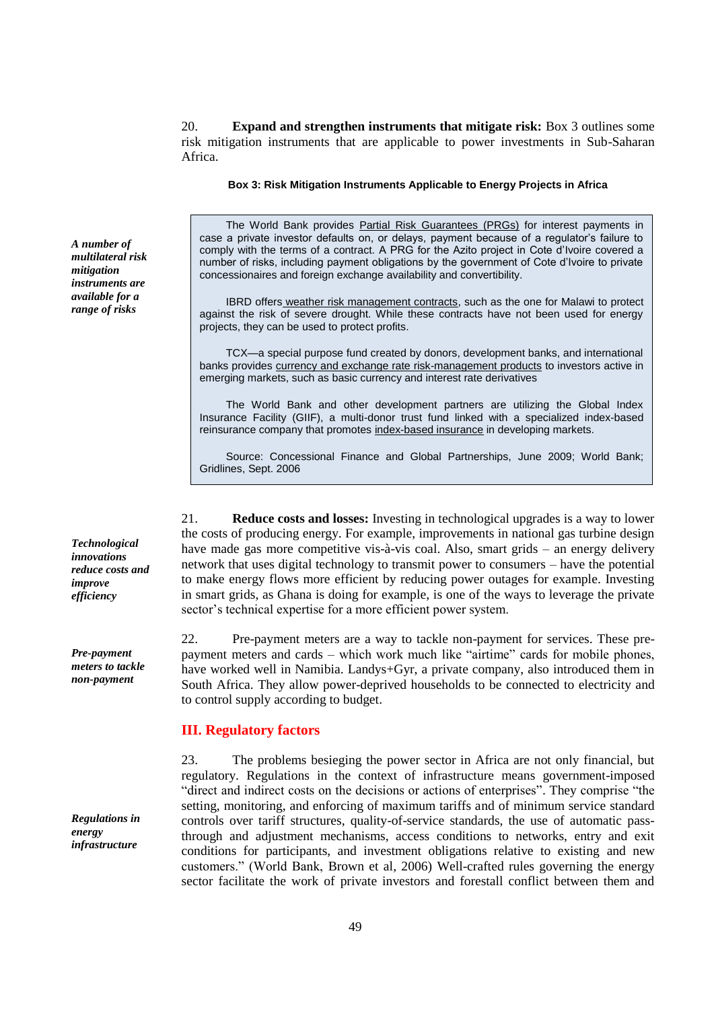20. **Expand and strengthen instruments that mitigate risk:** Box 3 outlines some risk mitigation instruments that are applicable to power investments in Sub-Saharan Africa.

**Box 3: Risk Mitigation Instruments Applicable to Energy Projects in Africa**

The World Bank provides Partial Risk Guarantees (PRGs) for interest payments in case a private investor defaults on, or delays, payment because of a regulator's failure to comply with the terms of a contract. A PRG for the Azito project in Cote d'Ivoire covered a number of risks, including payment obligations by the government of Cote d'Ivoire to private concessionaires and foreign exchange availability and convertibility.

IBRD offers weather risk management contracts, such as the one for Malawi to protect against the risk of severe drought. While these contracts have not been used for energy projects, they can be used to protect profits.

TCX—a special purpose fund created by donors, development banks, and international banks provides currency and exchange rate risk-management products to investors active in emerging markets, such as basic currency and interest rate derivatives

The World Bank and other development partners are utilizing the Global Index Insurance Facility (GIIF), a multi-donor trust fund linked with a specialized index-based reinsurance company that promotes index-based insurance in developing markets.

Source: Concessional Finance and Global Partnerships, June 2009; World Bank; Gridlines, Sept. 2006

21. **Reduce costs and losses:** Investing in technological upgrades is a way to lower the costs of producing energy. For example, improvements in national gas turbine design have made gas more competitive vis-à-vis coal. Also, smart grids – an energy delivery network that uses digital technology to transmit power to consumers – have the potential to make energy flows more efficient by reducing power outages for example. Investing in smart grids, as Ghana is doing for example, is one of the ways to leverage the private sector's technical expertise for a more efficient power system.

22. Pre-payment meters are a way to tackle non-payment for services. These prepayment meters and cards – which work much like "airtime" cards for mobile phones, have worked well in Namibia. Landys+Gyr, a private company, also introduced them in South Africa. They allow power-deprived households to be connected to electricity and to control supply according to budget.

# **III. Regulatory factors**

23. The problems besieging the power sector in Africa are not only financial, but regulatory. Regulations in the context of infrastructure means government-imposed "direct and indirect costs on the decisions or actions of enterprises". They comprise "the setting, monitoring, and enforcing of maximum tariffs and of minimum service standard controls over tariff structures, quality-of-service standards, the use of automatic passthrough and adjustment mechanisms, access conditions to networks, entry and exit conditions for participants, and investment obligations relative to existing and new customers.‖ (World Bank, Brown et al, 2006) Well-crafted rules governing the energy sector facilitate the work of private investors and forestall conflict between them and

*A number of multilateral risk mitigation instruments are available for a range of risks*

*Technological innovations reduce costs and improve efficiency*

*Pre-payment meters to tackle non-payment*

*Regulations in energy infrastructure*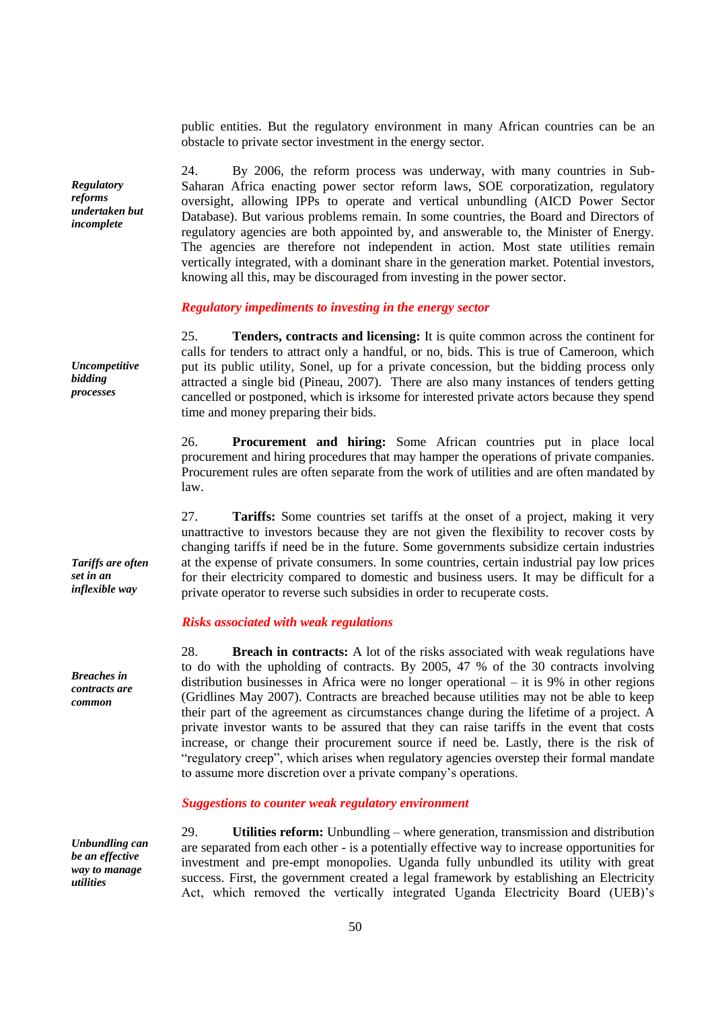public entities. But the regulatory environment in many African countries can be an obstacle to private sector investment in the energy sector.

24. By 2006, the reform process was underway, with many countries in Sub-Saharan Africa enacting power sector reform laws, SOE corporatization, regulatory oversight, allowing IPPs to operate and vertical unbundling (AICD Power Sector Database). But various problems remain. In some countries, the Board and Directors of regulatory agencies are both appointed by, and answerable to, the Minister of Energy. The agencies are therefore not independent in action. Most state utilities remain vertically integrated, with a dominant share in the generation market. Potential investors, knowing all this, may be discouraged from investing in the power sector.

## *Regulatory impediments to investing in the energy sector*

25. **Tenders, contracts and licensing:** It is quite common across the continent for calls for tenders to attract only a handful, or no, bids. This is true of Cameroon, which put its public utility, Sonel, up for a private concession, but the bidding process only attracted a single bid (Pineau, 2007). There are also many instances of tenders getting cancelled or postponed, which is irksome for interested private actors because they spend time and money preparing their bids.

26. **Procurement and hiring:** Some African countries put in place local procurement and hiring procedures that may hamper the operations of private companies. Procurement rules are often separate from the work of utilities and are often mandated by law.

27. **Tariffs:** Some countries set tariffs at the onset of a project, making it very unattractive to investors because they are not given the flexibility to recover costs by changing tariffs if need be in the future. Some governments subsidize certain industries at the expense of private consumers. In some countries, certain industrial pay low prices for their electricity compared to domestic and business users. It may be difficult for a private operator to reverse such subsidies in order to recuperate costs.

## *Risks associated with weak regulations*

28. **Breach in contracts:** A lot of the risks associated with weak regulations have to do with the upholding of contracts. By 2005, 47 % of the 30 contracts involving distribution businesses in Africa were no longer operational – it is 9% in other regions (Gridlines May 2007). Contracts are breached because utilities may not be able to keep their part of the agreement as circumstances change during the lifetime of a project. A private investor wants to be assured that they can raise tariffs in the event that costs increase, or change their procurement source if need be. Lastly, there is the risk of "regulatory creep", which arises when regulatory agencies overstep their formal mandate to assume more discretion over a private company's operations.

#### *Suggestions to counter weak regulatory environment*

29. **Utilities reform:** Unbundling – where generation, transmission and distribution are separated from each other - is a potentially effective way to increase opportunities for investment and pre-empt monopolies. Uganda fully unbundled its utility with great success. First, the government created a legal framework by establishing an Electricity Act, which removed the vertically integrated Uganda Electricity Board (UEB)'s

*Uncompetitive bidding processes*

*Regulatory reforms undertaken but incomplete*

*Tariffs are often set in an inflexible way*

*Breaches in contracts are common*

*Unbundling can be an effective way to manage utilities*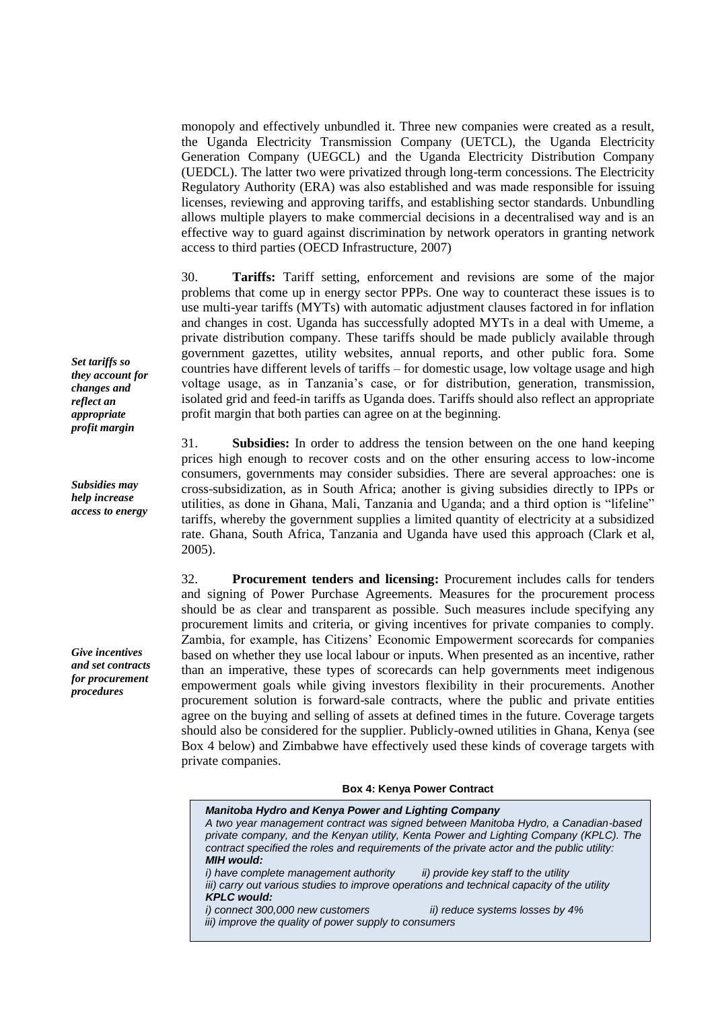monopoly and effectively unbundled it. Three new companies were created as a result, the Uganda Electricity Transmission Company (UETCL), the Uganda Electricity Generation Company (UEGCL) and the Uganda Electricity Distribution Company (UEDCL). The latter two were privatized through long-term concessions. The Electricity Regulatory Authority (ERA) was also established and was made responsible for issuing licenses, reviewing and approving tariffs, and establishing sector standards. Unbundling allows multiple players to make commercial decisions in a decentralised way and is an effective way to guard against discrimination by network operators in granting network access to third parties (OECD Infrastructure, 2007)

30. **Tariffs:** Tariff setting, enforcement and revisions are some of the major problems that come up in energy sector PPPs. One way to counteract these issues is to use multi-year tariffs (MYTs) with automatic adjustment clauses factored in for inflation and changes in cost. Uganda has successfully adopted MYTs in a deal with Umeme, a private distribution company. These tariffs should be made publicly available through government gazettes, utility websites, annual reports, and other public fora. Some countries have different levels of tariffs – for domestic usage, low voltage usage and high voltage usage, as in Tanzania's case, or for distribution, generation, transmission, isolated grid and feed-in tariffs as Uganda does. Tariffs should also reflect an appropriate profit margin that both parties can agree on at the beginning.

31. **Subsidies:** In order to address the tension between on the one hand keeping prices high enough to recover costs and on the other ensuring access to low-income consumers, governments may consider subsidies. There are several approaches: one is cross-subsidization, as in South Africa; another is giving subsidies directly to IPPs or utilities, as done in Ghana, Mali, Tanzania and Uganda; and a third option is "lifeline" tariffs, whereby the government supplies a limited quantity of electricity at a subsidized rate. Ghana, South Africa, Tanzania and Uganda have used this approach (Clark et al, 2005).

32. **Procurement tenders and licensing:** Procurement includes calls for tenders and signing of Power Purchase Agreements. Measures for the procurement process should be as clear and transparent as possible. Such measures include specifying any procurement limits and criteria, or giving incentives for private companies to comply. Zambia, for example, has Citizens' Economic Empowerment scorecards for companies based on whether they use local labour or inputs. When presented as an incentive, rather than an imperative, these types of scorecards can help governments meet indigenous empowerment goals while giving investors flexibility in their procurements. Another procurement solution is forward-sale contracts, where the public and private entities agree on the buying and selling of assets at defined times in the future. Coverage targets should also be considered for the supplier. Publicly-owned utilities in Ghana, Kenya (see Box 4 below) and Zimbabwe have effectively used these kinds of coverage targets with private companies.

#### **Box 4: Kenya Power Contract**

| <b>Manitoba Hydro and Kenya Power and Lighting Company</b><br>A two year management contract was signed between Manitoba Hydro, a Canadian-based<br>private company, and the Kenyan utility, Kenta Power and Lighting Company (KPLC). The<br>contract specified the roles and requirements of the private actor and the public utility:<br><b>MIH</b> would: |                                                                         |  |  |
|--------------------------------------------------------------------------------------------------------------------------------------------------------------------------------------------------------------------------------------------------------------------------------------------------------------------------------------------------------------|-------------------------------------------------------------------------|--|--|
| i) have complete management authority<br>iii) carry out various studies to improve operations and technical capacity of the utility<br><b>KPLC would:</b><br>i) connect 300,000 new customers<br>iii) improve the quality of power supply to consumers                                                                                                       | ii) provide key staff to the utility<br>ii) reduce systems losses by 4% |  |  |

*Set tariffs so they account for changes and reflect an appropriate profit margin* 

*Subsidies may help increase access to energy*

*Give incentives and set contracts for procurement procedures*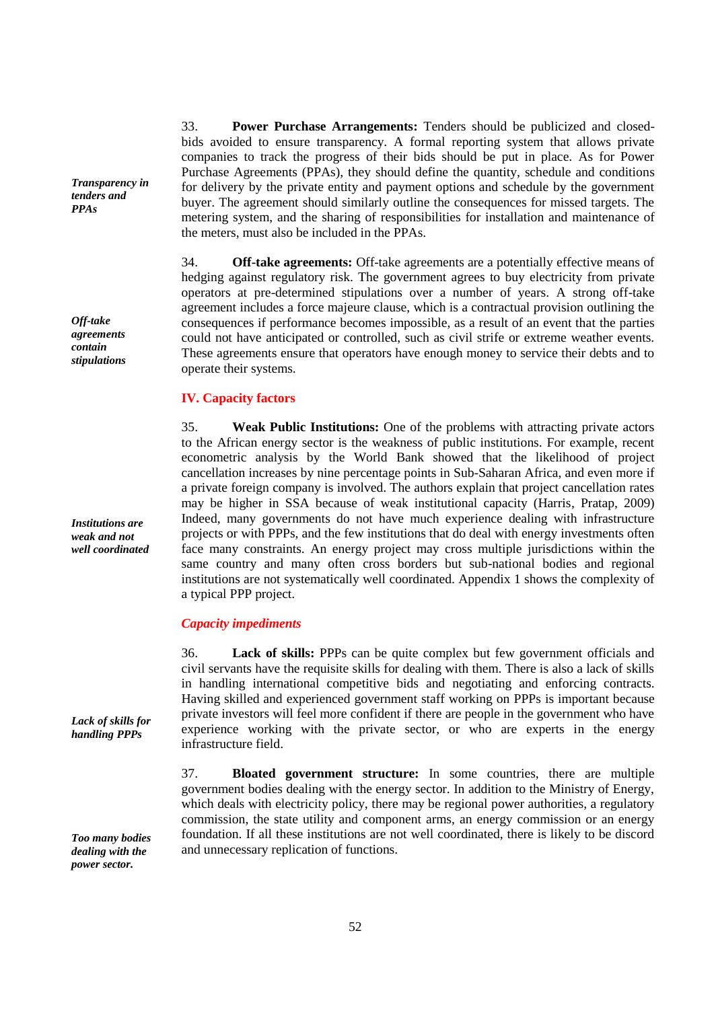*Transparency in tenders and PPAs*

*Off-take agreements contain stipulations*

*Institutions are weak and not well coordinated*

*Lack of skills for handling PPPs*

*Too many bodies dealing with the power sector.* 

33. **Power Purchase Arrangements:** Tenders should be publicized and closedbids avoided to ensure transparency. A formal reporting system that allows private companies to track the progress of their bids should be put in place. As for Power Purchase Agreements (PPAs), they should define the quantity, schedule and conditions for delivery by the private entity and payment options and schedule by the government buyer. The agreement should similarly outline the consequences for missed targets. The metering system, and the sharing of responsibilities for installation and maintenance of the meters, must also be included in the PPAs.

34. **Off-take agreements:** Off-take agreements are a potentially effective means of hedging against regulatory risk. The government agrees to buy electricity from private operators at pre-determined stipulations over a number of years. A strong off-take agreement includes a force majeure clause, which is a contractual provision outlining the consequences if performance becomes impossible, as a result of an event that the parties could not have anticipated or controlled, such as civil strife or extreme weather events. These agreements ensure that operators have enough money to service their debts and to operate their systems.

# **IV. Capacity factors**

35. **Weak Public Institutions:** One of the problems with attracting private actors to the African energy sector is the weakness of public institutions. For example, recent econometric analysis by the World Bank showed that the likelihood of project cancellation increases by nine percentage points in Sub-Saharan Africa, and even more if a private foreign company is involved. The authors explain that project cancellation rates may be higher in SSA because of weak institutional capacity (Harris, Pratap, 2009) Indeed, many governments do not have much experience dealing with infrastructure projects or with PPPs, and the few institutions that do deal with energy investments often face many constraints. An energy project may cross multiple jurisdictions within the same country and many often cross borders but sub-national bodies and regional institutions are not systematically well coordinated. Appendix 1 shows the complexity of a typical PPP project.

## *Capacity impediments*

36. **Lack of skills:** PPPs can be quite complex but few government officials and civil servants have the requisite skills for dealing with them. There is also a lack of skills in handling international competitive bids and negotiating and enforcing contracts. Having skilled and experienced government staff working on PPPs is important because private investors will feel more confident if there are people in the government who have experience working with the private sector, or who are experts in the energy infrastructure field.

37. **Bloated government structure:** In some countries, there are multiple government bodies dealing with the energy sector. In addition to the Ministry of Energy, which deals with electricity policy, there may be regional power authorities, a regulatory commission, the state utility and component arms, an energy commission or an energy foundation. If all these institutions are not well coordinated, there is likely to be discord and unnecessary replication of functions.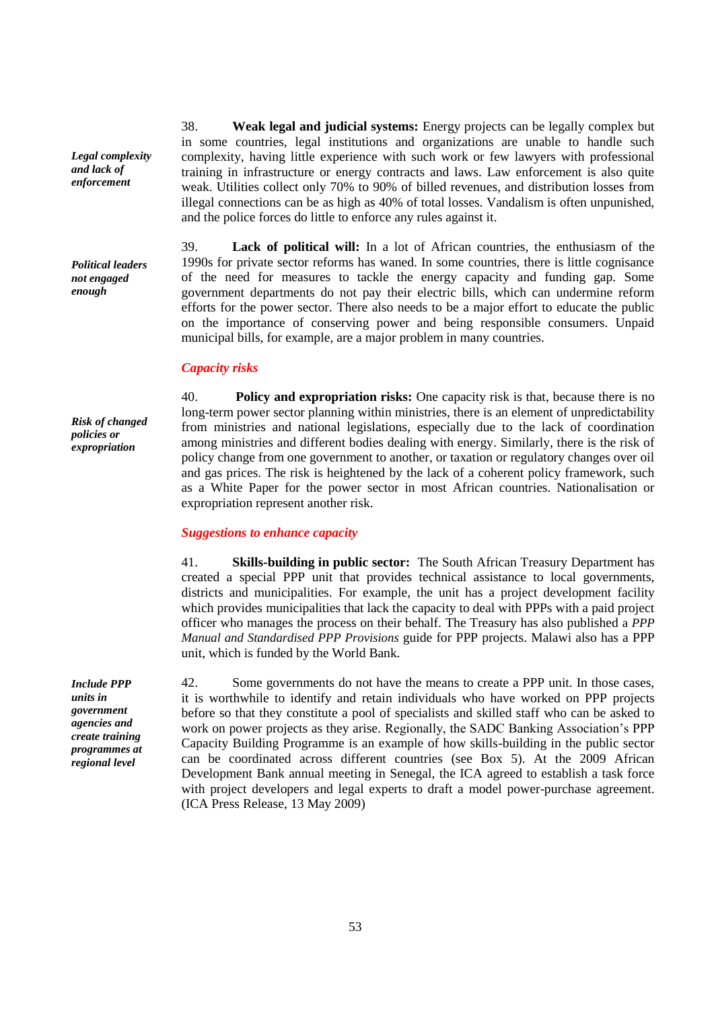*Legal complexity and lack of enforcement*

*Political leaders not engaged enough*

*Risk of changed policies or expropriation*

38. **Weak legal and judicial systems:** Energy projects can be legally complex but in some countries, legal institutions and organizations are unable to handle such complexity, having little experience with such work or few lawyers with professional training in infrastructure or energy contracts and laws. Law enforcement is also quite weak. Utilities collect only 70% to 90% of billed revenues, and distribution losses from illegal connections can be as high as 40% of total losses. Vandalism is often unpunished, and the police forces do little to enforce any rules against it.

39. **Lack of political will:** In a lot of African countries, the enthusiasm of the 1990s for private sector reforms has waned. In some countries, there is little cognisance of the need for measures to tackle the energy capacity and funding gap. Some government departments do not pay their electric bills, which can undermine reform efforts for the power sector. There also needs to be a major effort to educate the public on the importance of conserving power and being responsible consumers. Unpaid municipal bills, for example, are a major problem in many countries.

## *Capacity risks*

40. **Policy and expropriation risks:** One capacity risk is that, because there is no long-term power sector planning within ministries, there is an element of unpredictability from ministries and national legislations, especially due to the lack of coordination among ministries and different bodies dealing with energy. Similarly, there is the risk of policy change from one government to another, or taxation or regulatory changes over oil and gas prices. The risk is heightened by the lack of a coherent policy framework, such as a White Paper for the power sector in most African countries. Nationalisation or expropriation represent another risk.

# *Suggestions to enhance capacity*

41. **Skills-building in public sector:** The South African Treasury Department has created a special PPP unit that provides technical assistance to local governments, districts and municipalities. For example, the unit has a project development facility which provides municipalities that lack the capacity to deal with PPPs with a paid project officer who manages the process on their behalf. The Treasury has also published a *PPP Manual and Standardised PPP Provisions* guide for PPP projects. Malawi also has a PPP unit, which is funded by the World Bank.

42. Some governments do not have the means to create a PPP unit. In those cases, it is worthwhile to identify and retain individuals who have worked on PPP projects before so that they constitute a pool of specialists and skilled staff who can be asked to work on power projects as they arise. Regionally, the SADC Banking Association's PPP Capacity Building Programme is an example of how skills-building in the public sector can be coordinated across different countries (see Box 5). At the 2009 African Development Bank annual meeting in Senegal, the ICA agreed to establish a task force with project developers and legal experts to draft a model power-purchase agreement. (ICA Press Release, 13 May 2009)

*Include PPP units in government agencies and create training programmes at regional level*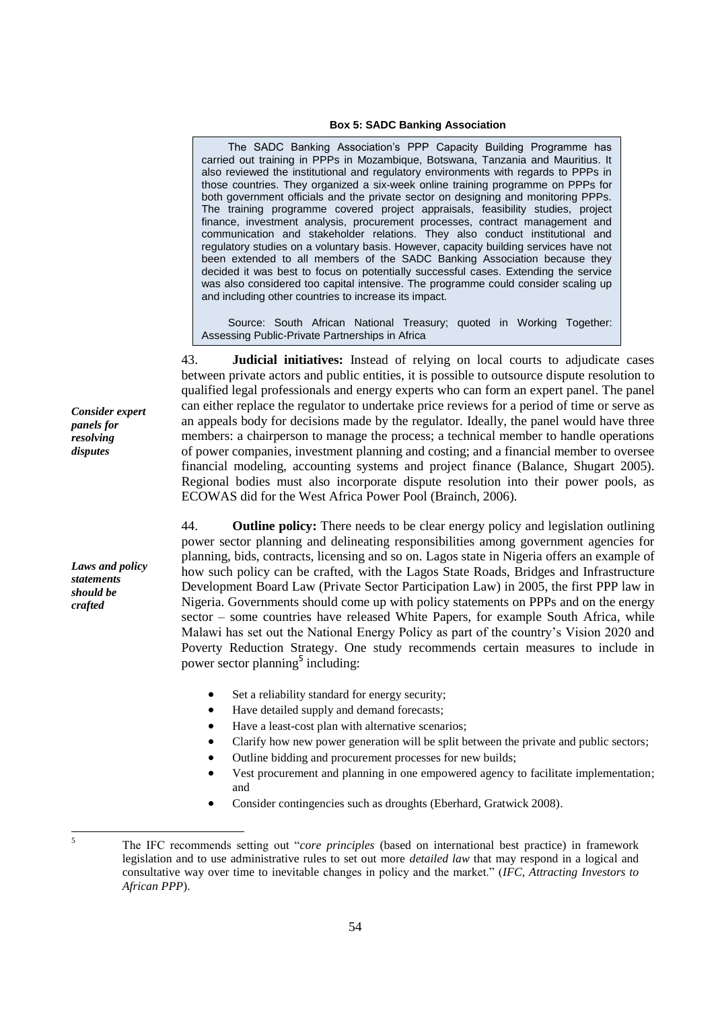## **Box 5: SADC Banking Association**

The SADC Banking Association's PPP Capacity Building Programme has carried out training in PPPs in Mozambique, Botswana, Tanzania and Mauritius. It also reviewed the institutional and regulatory environments with regards to PPPs in those countries. They organized a six-week online training programme on PPPs for both government officials and the private sector on designing and monitoring PPPs. The training programme covered project appraisals, feasibility studies, project finance, investment analysis, procurement processes, contract management and communication and stakeholder relations. They also conduct institutional and regulatory studies on a voluntary basis. However, capacity building services have not been extended to all members of the SADC Banking Association because they decided it was best to focus on potentially successful cases. Extending the service was also considered too capital intensive. The programme could consider scaling up and including other countries to increase its impact.

Source: South African National Treasury; quoted in Working Together: Assessing Public-Private Partnerships in Africa

43. **Judicial initiatives:** Instead of relying on local courts to adjudicate cases between private actors and public entities, it is possible to outsource dispute resolution to qualified legal professionals and energy experts who can form an expert panel. The panel can either replace the regulator to undertake price reviews for a period of time or serve as an appeals body for decisions made by the regulator. Ideally, the panel would have three members: a chairperson to manage the process; a technical member to handle operations of power companies, investment planning and costing; and a financial member to oversee financial modeling, accounting systems and project finance (Balance, Shugart 2005). Regional bodies must also incorporate dispute resolution into their power pools, as ECOWAS did for the West Africa Power Pool (Brainch, 2006).

44. **Outline policy:** There needs to be clear energy policy and legislation outlining power sector planning and delineating responsibilities among government agencies for planning, bids, contracts, licensing and so on. Lagos state in Nigeria offers an example of how such policy can be crafted, with the Lagos State Roads, Bridges and Infrastructure Development Board Law (Private Sector Participation Law) in 2005, the first PPP law in Nigeria. Governments should come up with policy statements on PPPs and on the energy sector – some countries have released White Papers, for example South Africa, while Malawi has set out the National Energy Policy as part of the country's Vision 2020 and Poverty Reduction Strategy. One study recommends certain measures to include in power sector planning<sup>5</sup> including:

- Set a reliability standard for energy security;
- Have detailed supply and demand forecasts;
- Have a least-cost plan with alternative scenarios;
- Clarify how new power generation will be split between the private and public sectors;
- Outline bidding and procurement processes for new builds;
- Vest procurement and planning in one empowered agency to facilitate implementation; and
- Consider contingencies such as droughts (Eberhard, Gratwick 2008).

*Consider expert panels for resolving disputes*

*Laws and policy statements should be crafted*

<sup>5</sup> The IFC recommends setting out "*core principles* (based on international best practice) in framework legislation and to use administrative rules to set out more *detailed law* that may respond in a logical and consultative way over time to inevitable changes in policy and the market.‖ (*IFC, Attracting Investors to African PPP*).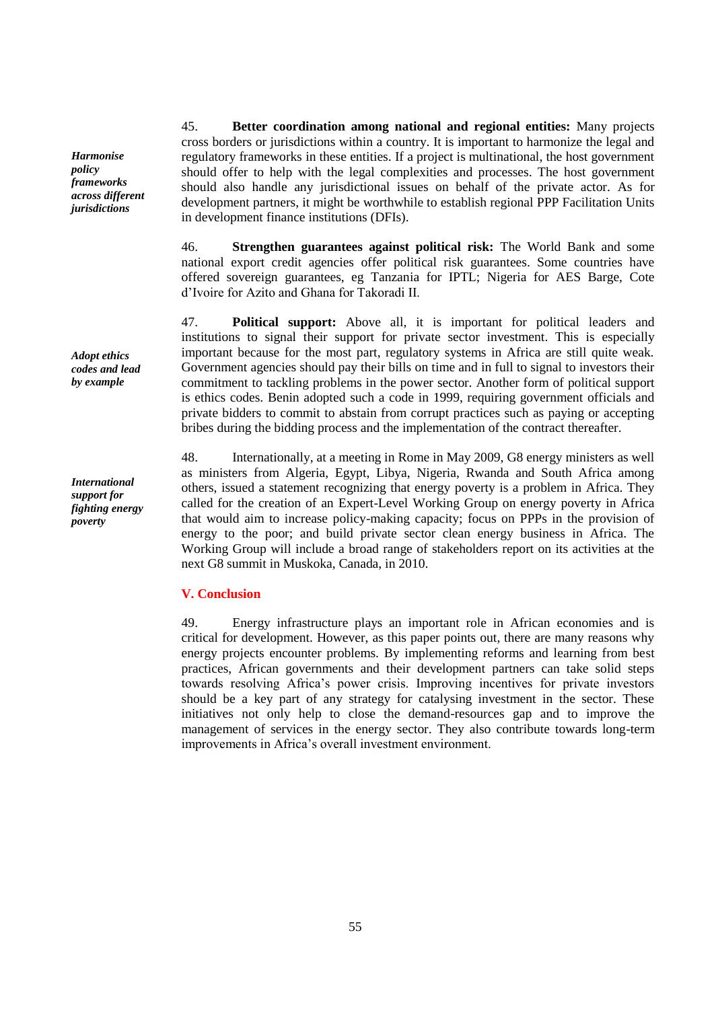45. **Better coordination among national and regional entities:** Many projects cross borders or jurisdictions within a country. It is important to harmonize the legal and regulatory frameworks in these entities. If a project is multinational, the host government should offer to help with the legal complexities and processes. The host government should also handle any jurisdictional issues on behalf of the private actor. As for development partners, it might be worthwhile to establish regional PPP Facilitation Units in development finance institutions (DFIs).

46. **Strengthen guarantees against political risk:** The World Bank and some national export credit agencies offer political risk guarantees. Some countries have offered sovereign guarantees, eg Tanzania for IPTL; Nigeria for AES Barge, Cote d'Ivoire for Azito and Ghana for Takoradi II.

47. **Political support:** Above all, it is important for political leaders and institutions to signal their support for private sector investment. This is especially important because for the most part, regulatory systems in Africa are still quite weak. Government agencies should pay their bills on time and in full to signal to investors their commitment to tackling problems in the power sector. Another form of political support is ethics codes. Benin adopted such a code in 1999, requiring government officials and private bidders to commit to abstain from corrupt practices such as paying or accepting bribes during the bidding process and the implementation of the contract thereafter.

48. Internationally, at a meeting in Rome in May 2009, G8 energy ministers as well as ministers from Algeria, Egypt, Libya, Nigeria, Rwanda and South Africa among others, issued a statement recognizing that energy poverty is a problem in Africa. They called for the creation of an Expert-Level Working Group on energy poverty in Africa that would aim to increase policy-making capacity; focus on PPPs in the provision of energy to the poor; and build private sector clean energy business in Africa. The Working Group will include a broad range of stakeholders report on its activities at the next G8 summit in Muskoka, Canada, in 2010.

## **V. Conclusion**

49. Energy infrastructure plays an important role in African economies and is critical for development. However, as this paper points out, there are many reasons why energy projects encounter problems. By implementing reforms and learning from best practices, African governments and their development partners can take solid steps towards resolving Africa's power crisis. Improving incentives for private investors should be a key part of any strategy for catalysing investment in the sector. These initiatives not only help to close the demand-resources gap and to improve the management of services in the energy sector. They also contribute towards long-term improvements in Africa's overall investment environment.

*Harmonise policy frameworks across different jurisdictions*

*Adopt ethics codes and lead by example*

*International support for fighting energy poverty*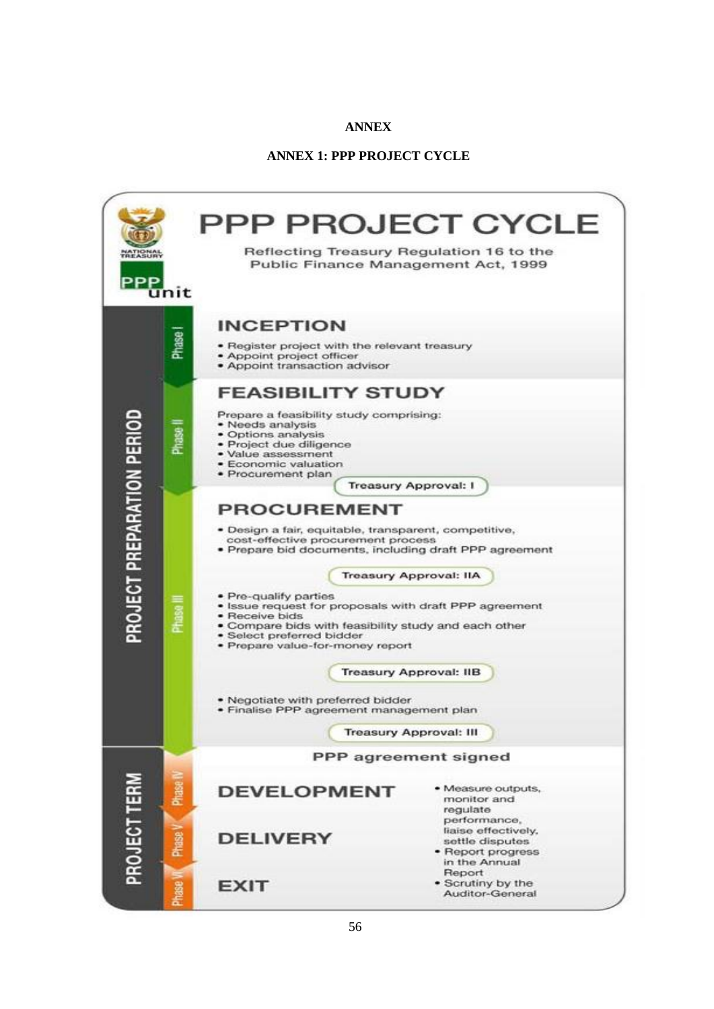# **ANNEX**

## **ANNEX 1: PPP PROJECT CYCLE**

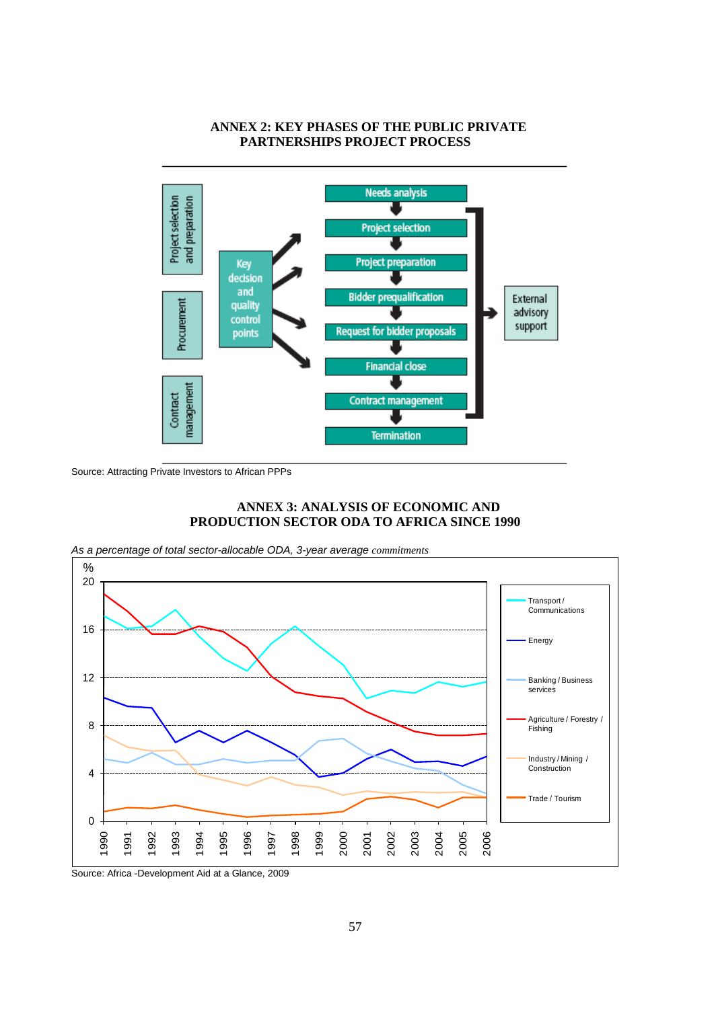# **ANNEX 2: KEY PHASES OF THE PUBLIC PRIVATE PARTNERSHIPS PROJECT PROCESS**



Source: Attracting Private Investors to African PPPs

# **ANNEX 3: ANALYSIS OF ECONOMIC AND PRODUCTION SECTOR ODA TO AFRICA SINCE 1990**

*As a percentage of total sector-allocable ODA, 3-year average commitments*



Source: Africa -Development Aid at a Glance, 2009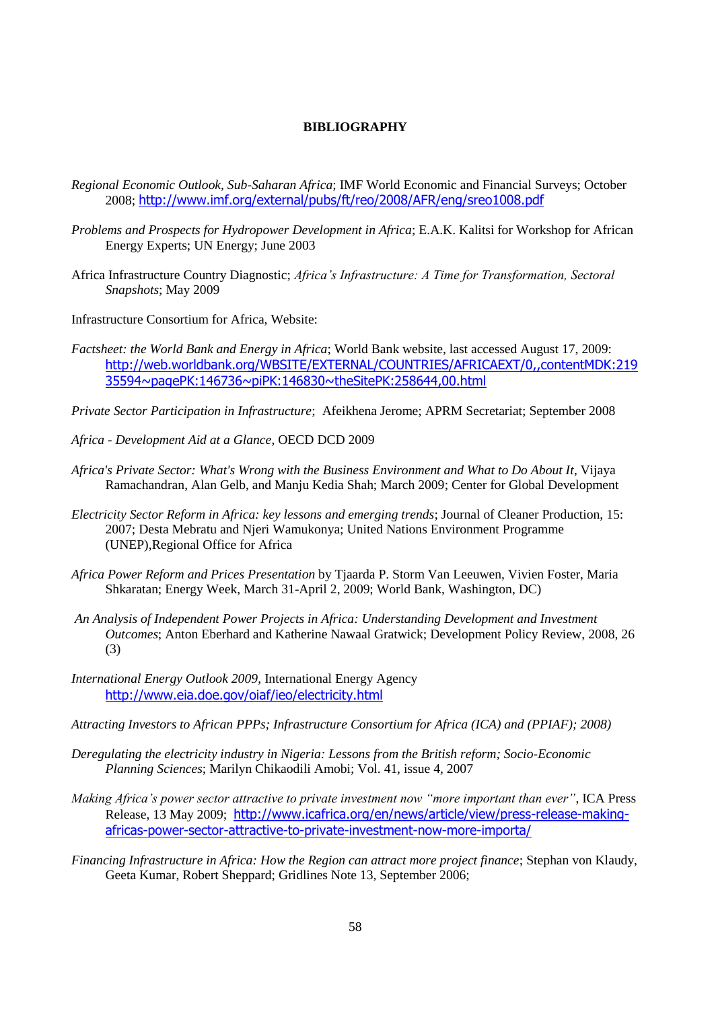# **BIBLIOGRAPHY**

- *Regional Economic Outlook, Sub-Saharan Africa*; IMF World Economic and Financial Surveys; October 2008; <http://www.imf.org/external/pubs/ft/reo/2008/AFR/eng/sreo1008.pdf>
- *Problems and Prospects for Hydropower Development in Africa*; E.A.K. Kalitsi for Workshop for African Energy Experts; UN Energy; June 2003
- Africa Infrastructure Country Diagnostic; *Africa's Infrastructure: A Time for Transformation, Sectoral Snapshots*; May 2009
- Infrastructure Consortium for Africa, Website:
- *Factsheet: the World Bank and Energy in Africa*; World Bank website, last accessed August 17, 2009: [http://web.worldbank.org/WBSITE/EXTERNAL/COUNTRIES/AFRICAEXT/0,,contentMDK:219](http://web.worldbank.org/WBSITE/EXTERNAL/COUNTRIES/AFRICAEXT/0,,contentMDK:21935594~pagePK:146736~piPK:146830~theSitePK:258644,00.html) [35594~pagePK:146736~piPK:146830~theSitePK:258644,00.html](http://web.worldbank.org/WBSITE/EXTERNAL/COUNTRIES/AFRICAEXT/0,,contentMDK:21935594~pagePK:146736~piPK:146830~theSitePK:258644,00.html)
- *Private Sector Participation in Infrastructure*; Afeikhena Jerome; APRM Secretariat; September 2008
- *Africa - Development Aid at a Glance*, OECD DCD 2009
- *Africa's Private Sector: What's Wrong with the Business Environment and What to Do About It*, Vijaya Ramachandran, Alan Gelb, and Manju Kedia Shah; March 2009; Center for Global Development
- *Electricity Sector Reform in Africa: key lessons and emerging trends*; Journal of Cleaner Production, 15: 2007; Desta Mebratu and Njeri Wamukonya; United Nations Environment Programme (UNEP),Regional Office for Africa
- *Africa Power Reform and Prices Presentation* by Tjaarda P. Storm Van Leeuwen, Vivien Foster, Maria Shkaratan; Energy Week, March 31-April 2, 2009; World Bank, Washington, DC)
- *An Analysis of Independent Power Projects in Africa: Understanding Development and Investment Outcomes*; Anton Eberhard and Katherine Nawaal Gratwick; Development Policy Review, 2008, 26 (3)
- *International Energy Outlook 2009*, International Energy Agency <http://www.eia.doe.gov/oiaf/ieo/electricity.html>
- *Attracting Investors to African PPPs; Infrastructure Consortium for Africa (ICA) and (PPIAF); 2008)*
- *Deregulating the electricity industry in Nigeria: Lessons from the British reform; Socio-Economic Planning Sciences*; Marilyn Chikaodili Amobi; Vol. 41, issue 4, 2007
- *Making Africa's power sector attractive to private investment now "more important than ever"*, ICA Press Release, 13 May 2009; [http://www.icafrica.org/en/news/article/view/press-release-making](http://www.icafrica.org/en/news/article/view/press-release-making-africas-power-sector-attractive-to-private-investment-now-more-importa/)[africas-power-sector-attractive-to-private-investment-now-more-importa/](http://www.icafrica.org/en/news/article/view/press-release-making-africas-power-sector-attractive-to-private-investment-now-more-importa/)
- *Financing Infrastructure in Africa: How the Region can attract more project finance*; Stephan von Klaudy, Geeta Kumar, Robert Sheppard; Gridlines Note 13, September 2006;